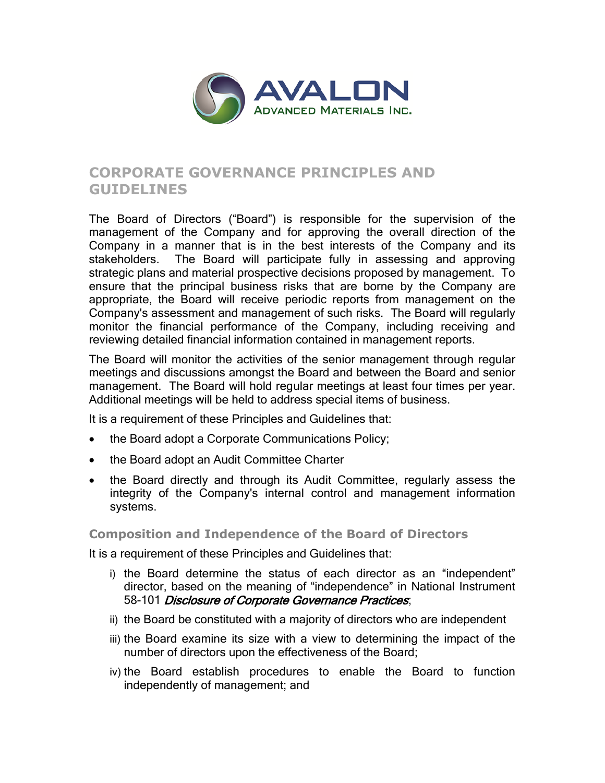

# **CORPORATE GOVERNANCE PRINCIPLES AND GUIDELINES**

The Board of Directors ("Board") is responsible for the supervision of the management of the Company and for approving the overall direction of the Company in a manner that is in the best interests of the Company and its stakeholders. The Board will participate fully in assessing and approving strategic plans and material prospective decisions proposed by management. To ensure that the principal business risks that are borne by the Company are appropriate, the Board will receive periodic reports from management on the Company's assessment and management of such risks. The Board will regularly monitor the financial performance of the Company, including receiving and reviewing detailed financial information contained in management reports.

The Board will monitor the activities of the senior management through regular meetings and discussions amongst the Board and between the Board and senior management. The Board will hold regular meetings at least four times per year. Additional meetings will be held to address special items of business.

It is a requirement of these Principles and Guidelines that:

- the Board adopt a Corporate Communications Policy;
- the Board adopt an Audit Committee Charter
- the Board directly and through its Audit Committee, regularly assess the integrity of the Company's internal control and management information systems.

## **Composition and Independence of the Board of Directors**

It is a requirement of these Principles and Guidelines that:

- i) the Board determine the status of each director as an "independent" director, based on the meaning of "independence" in National Instrument 58-101 Disclosure of Corporate Governance Practices;
- ii) the Board be constituted with a majority of directors who are independent
- iii) the Board examine its size with a view to determining the impact of the number of directors upon the effectiveness of the Board;
- iv) the Board establish procedures to enable the Board to function independently of management; and